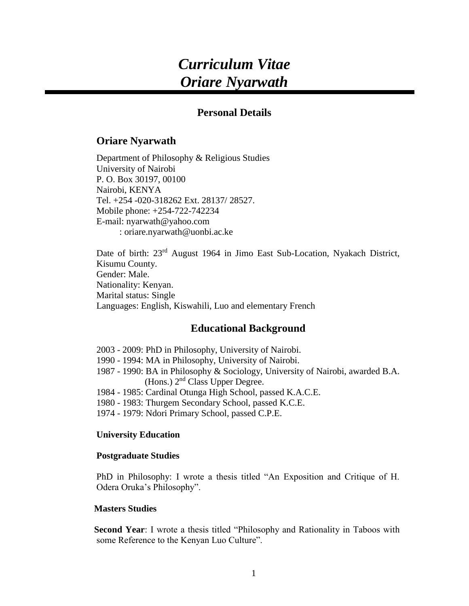# *Curriculum Vitae Oriare Nyarwath*

# **Personal Details**

## **Oriare Nyarwath**

Department of Philosophy & Religious Studies University of Nairobi P. O. Box 30197, 00100 Nairobi, KENYA Tel. +254 -020-318262 Ext. 28137/ 28527. Mobile phone: +254-722-742234 E-mail: [nyarwath@yahoo.com](mailto:nyarwath@yahoo.com) : oriare.nyarwath@uonbi.ac.ke

Date of birth: 23<sup>rd</sup> August 1964 in Jimo East Sub-Location, Nyakach District, Kisumu County. Gender: Male. Nationality: Kenyan. Marital status: Single Languages: English, Kiswahili, Luo and elementary French

# **Educational Background**

2003 - 2009: PhD in Philosophy, University of Nairobi.

- 1990 1994: MA in Philosophy, University of Nairobi.
- 1987 1990: BA in Philosophy & Sociology, University of Nairobi, awarded B.A. (Hons.) 2<sup>nd</sup> Class Upper Degree.
- 1984 1985: Cardinal Otunga High School, passed K.A.C.E.
- 1980 1983: Thurgem Secondary School, passed K.C.E.
- 1974 1979: Ndori Primary School, passed C.P.E.

## **University Education**

#### **Postgraduate Studies**

PhD in Philosophy: I wrote a thesis titled "An Exposition and Critique of H. Odera Oruka's Philosophy".

## **Masters Studies**

 **Second Year**: I wrote a thesis titled "Philosophy and Rationality in Taboos with some Reference to the Kenyan Luo Culture".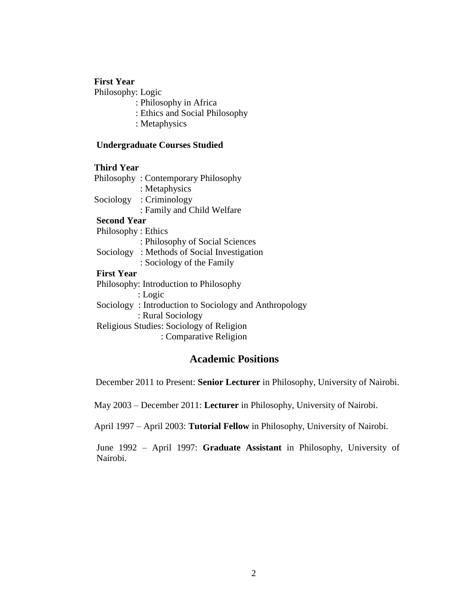## **First Year**

Philosophy: Logic

- : Philosophy in Africa
- : Ethics and Social Philosophy
- : Metaphysics

#### **Undergraduate Courses Studied**

#### **Third Year**

|           | Philosophy: Contemporary Philosophy |
|-----------|-------------------------------------|
|           | : Metaphysics                       |
| Sociology | : Criminology                       |
|           | : Family and Child Welfare          |

#### **Second Year**

 Philosophy : Ethics : Philosophy of Social Sciences Sociology : Methods of Social Investigation

: Sociology of the Family

# **First Year**

Philosophy: Introduction to Philosophy : Logic Sociology : Introduction to Sociology and Anthropology : Rural Sociology Religious Studies: Sociology of Religion : Comparative Religion

## **Academic Positions**

December 2011 to Present: **Senior Lecturer** in Philosophy, University of Nairobi.

May 2003 – December 2011: **Lecturer** in Philosophy, University of Nairobi.

April 1997 – April 2003: **Tutorial Fellow** in Philosophy, University of Nairobi.

June 1992 – April 1997: **Graduate Assistant** in Philosophy, University of Nairobi.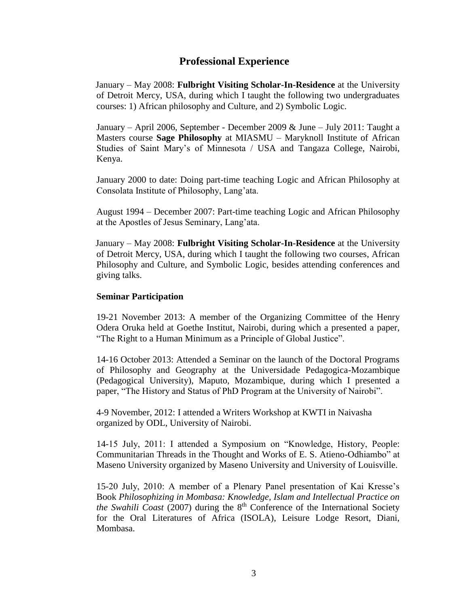# **Professional Experience**

January – May 2008: **Fulbright Visiting Scholar-In-Residence** at the University of Detroit Mercy, USA, during which I taught the following two undergraduates courses: 1) African philosophy and Culture, and 2) Symbolic Logic.

January – April 2006, September - December 2009 & June – July 2011: Taught a Masters course **Sage Philosophy** at MIASMU – Maryknoll Institute of African Studies of Saint Mary's of Minnesota / USA and Tangaza College, Nairobi, Kenya.

January 2000 to date: Doing part-time teaching Logic and African Philosophy at Consolata Institute of Philosophy, Lang'ata.

August 1994 – December 2007: Part-time teaching Logic and African Philosophy at the Apostles of Jesus Seminary, Lang'ata.

January – May 2008: **Fulbright Visiting Scholar-In-Residence** at the University of Detroit Mercy, USA, during which I taught the following two courses, African Philosophy and Culture, and Symbolic Logic, besides attending conferences and giving talks.

#### **Seminar Participation**

19-21 November 2013: A member of the Organizing Committee of the Henry Odera Oruka held at Goethe Institut, Nairobi, during which a presented a paper, "The Right to a Human Minimum as a Principle of Global Justice".

14-16 October 2013: Attended a Seminar on the launch of the Doctoral Programs of Philosophy and Geography at the Universidade Pedagogica-Mozambique (Pedagogical University), Maputo, Mozambique, during which I presented a paper, "The History and Status of PhD Program at the University of Nairobi".

4-9 November, 2012: I attended a Writers Workshop at KWTI in Naivasha organized by ODL, University of Nairobi.

14-15 July, 2011: I attended a Symposium on "Knowledge, History, People: Communitarian Threads in the Thought and Works of E. S. Atieno-Odhiambo" at Maseno University organized by Maseno University and University of Louisville.

15-20 July, 2010: A member of a Plenary Panel presentation of Kai Kresse's Book *Philosophizing in Mombasa: Knowledge, Islam and Intellectual Practice on the Swahili Coast* (2007) during the  $8<sup>th</sup>$  Conference of the International Society for the Oral Literatures of Africa (ISOLA), Leisure Lodge Resort, Diani, Mombasa.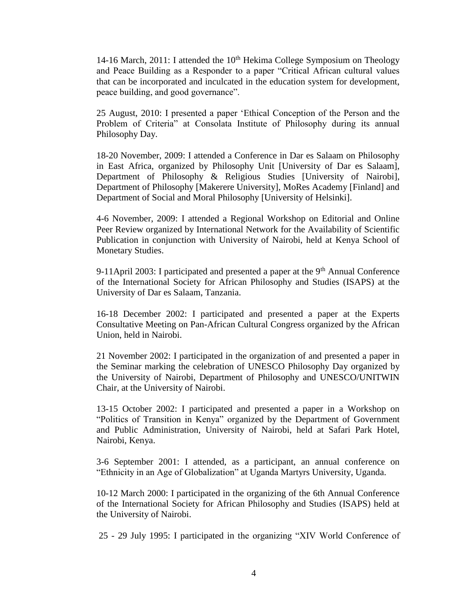14-16 March, 2011: I attended the  $10<sup>th</sup>$  Hekima College Symposium on Theology and Peace Building as a Responder to a paper "Critical African cultural values that can be incorporated and inculcated in the education system for development, peace building, and good governance".

25 August, 2010: I presented a paper 'Ethical Conception of the Person and the Problem of Criteria" at Consolata Institute of Philosophy during its annual Philosophy Day.

18-20 November, 2009: I attended a Conference in Dar es Salaam on Philosophy in East Africa, organized by Philosophy Unit [University of Dar es Salaam], Department of Philosophy & Religious Studies [University of Nairobi], Department of Philosophy [Makerere University], MoRes Academy [Finland] and Department of Social and Moral Philosophy [University of Helsinki].

4-6 November, 2009: I attended a Regional Workshop on Editorial and Online Peer Review organized by International Network for the Availability of Scientific Publication in conjunction with University of Nairobi, held at Kenya School of Monetary Studies.

9-11April 2003: I participated and presented a paper at the  $9<sup>th</sup>$  Annual Conference of the International Society for African Philosophy and Studies (ISAPS) at the University of Dar es Salaam, Tanzania.

16-18 December 2002: I participated and presented a paper at the Experts Consultative Meeting on Pan-African Cultural Congress organized by the African Union, held in Nairobi.

21 November 2002: I participated in the organization of and presented a paper in the Seminar marking the celebration of UNESCO Philosophy Day organized by the University of Nairobi, Department of Philosophy and UNESCO/UNITWIN Chair, at the University of Nairobi.

13-15 October 2002: I participated and presented a paper in a Workshop on "Politics of Transition in Kenya" organized by the Department of Government and Public Administration, University of Nairobi, held at Safari Park Hotel, Nairobi, Kenya.

3-6 September 2001: I attended, as a participant, an annual conference on "Ethnicity in an Age of Globalization" at Uganda Martyrs University, Uganda.

10-12 March 2000: I participated in the organizing of the 6th Annual Conference of the International Society for African Philosophy and Studies (ISAPS) held at the University of Nairobi.

25 - 29 July 1995: I participated in the organizing "XIV World Conference of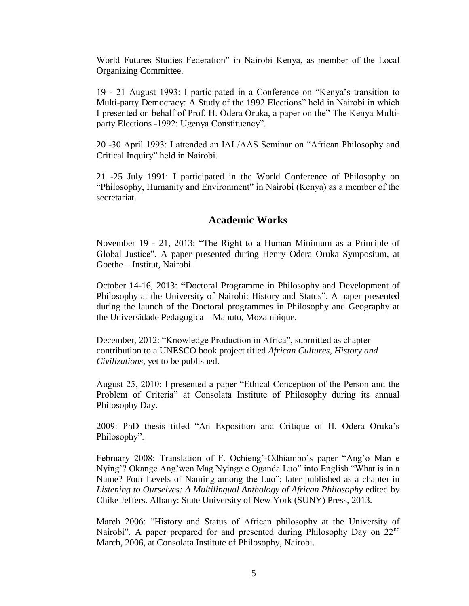World Futures Studies Federation" in Nairobi Kenya, as member of the Local Organizing Committee.

19 - 21 August 1993: I participated in a Conference on "Kenya's transition to Multi-party Democracy: A Study of the 1992 Elections" held in Nairobi in which I presented on behalf of Prof. H. Odera Oruka, a paper on the" The Kenya Multiparty Elections -1992: Ugenya Constituency".

20 -30 April 1993: I attended an IAI /AAS Seminar on "African Philosophy and Critical Inquiry" held in Nairobi.

21 -25 July 1991: I participated in the World Conference of Philosophy on "Philosophy, Humanity and Environment" in Nairobi (Kenya) as a member of the secretariat.

## **Academic Works**

November 19 - 21, 2013: "The Right to a Human Minimum as a Principle of Global Justice". A paper presented during Henry Odera Oruka Symposium, at Goethe – Institut, Nairobi.

October 14-16, 2013: **"**Doctoral Programme in Philosophy and Development of Philosophy at the University of Nairobi: History and Status". A paper presented during the launch of the Doctoral programmes in Philosophy and Geography at the Universidade Pedagogica – Maputo, Mozambique.

December, 2012: "Knowledge Production in Africa", submitted as chapter contribution to a UNESCO book project titled *African Cultures, History and Civilizations*, yet to be published.

August 25, 2010: I presented a paper "Ethical Conception of the Person and the Problem of Criteria" at Consolata Institute of Philosophy during its annual Philosophy Day.

2009: PhD thesis titled "An Exposition and Critique of H. Odera Oruka's Philosophy".

February 2008: Translation of F. Ochieng'-Odhiambo's paper "Ang'o Man e Nying'? Okange Ang'wen Mag Nyinge e Oganda Luo" into English "What is in a Name? Four Levels of Naming among the Luo"; later published as a chapter in *Listening to Ourselves: A Multilingual Anthology of African Philosophy* edited by Chike Jeffers. Albany: State University of New York (SUNY) Press, 2013.

March 2006: "History and Status of African philosophy at the University of Nairobi". A paper prepared for and presented during Philosophy Day on 22<sup>nd</sup> March, 2006, at Consolata Institute of Philosophy, Nairobi.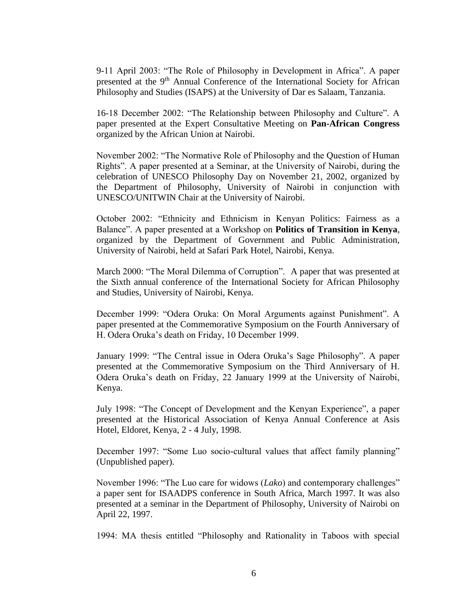9-11 April 2003: "The Role of Philosophy in Development in Africa". A paper presented at the 9<sup>th</sup> Annual Conference of the International Society for African Philosophy and Studies (ISAPS) at the University of Dar es Salaam, Tanzania.

16-18 December 2002: "The Relationship between Philosophy and Culture". A paper presented at the Expert Consultative Meeting on **Pan-African Congress** organized by the African Union at Nairobi.

November 2002: "The Normative Role of Philosophy and the Question of Human Rights". A paper presented at a Seminar, at the University of Nairobi, during the celebration of UNESCO Philosophy Day on November 21, 2002, organized by the Department of Philosophy, University of Nairobi in conjunction with UNESCO/UNITWIN Chair at the University of Nairobi.

October 2002: "Ethnicity and Ethnicism in Kenyan Politics: Fairness as a Balance". A paper presented at a Workshop on **Politics of Transition in Kenya**, organized by the Department of Government and Public Administration, University of Nairobi, held at Safari Park Hotel, Nairobi, Kenya.

March 2000: "The Moral Dilemma of Corruption". A paper that was presented at the Sixth annual conference of the International Society for African Philosophy and Studies, University of Nairobi, Kenya.

December 1999: "Odera Oruka: On Moral Arguments against Punishment". A paper presented at the Commemorative Symposium on the Fourth Anniversary of H. Odera Oruka's death on Friday, 10 December 1999.

January 1999: "The Central issue in Odera Oruka's Sage Philosophy". A paper presented at the Commemorative Symposium on the Third Anniversary of H. Odera Oruka's death on Friday, 22 January 1999 at the University of Nairobi, Kenya.

July 1998: "The Concept of Development and the Kenyan Experience", a paper presented at the Historical Association of Kenya Annual Conference at Asis Hotel, Eldoret, Kenya, 2 - 4 July, 1998.

December 1997: "Some Luo socio-cultural values that affect family planning" (Unpublished paper).

November 1996: "The Luo care for widows (*Lako*) and contemporary challenges" a paper sent for ISAADPS conference in South Africa, March 1997. It was also presented at a seminar in the Department of Philosophy, University of Nairobi on April 22, 1997.

1994: MA thesis entitled "Philosophy and Rationality in Taboos with special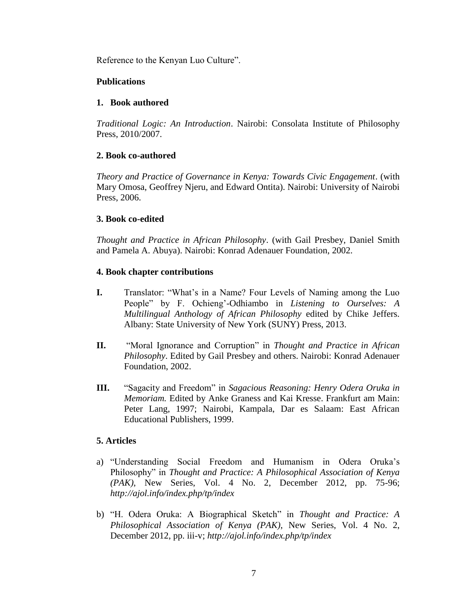Reference to the Kenyan Luo Culture".

## **Publications**

## **1. Book authored**

*Traditional Logic: An Introduction*. Nairobi: Consolata Institute of Philosophy Press, 2010/2007.

## **2. Book co-authored**

*Theory and Practice of Governance in Kenya: Towards Civic Engagement*. (with Mary Omosa, Geoffrey Njeru, and Edward Ontita). Nairobi: University of Nairobi Press, 2006.

## **3. Book co-edited**

*Thought and Practice in African Philosophy*. (with Gail Presbey, Daniel Smith and Pamela A. Abuya). Nairobi: Konrad Adenauer Foundation, 2002.

## **4. Book chapter contributions**

- **I.** Translator: "What's in a Name? Four Levels of Naming among the Luo People" by F. Ochieng'-Odhiambo in *Listening to Ourselves: A Multilingual Anthology of African Philosophy* edited by Chike Jeffers. Albany: State University of New York (SUNY) Press, 2013.
- **II.** "Moral Ignorance and Corruption" in *Thought and Practice in African Philosophy*. Edited by Gail Presbey and others. Nairobi: Konrad Adenauer Foundation, 2002.
- **III.** "Sagacity and Freedom" in *Sagacious Reasoning: Henry Odera Oruka in Memoriam.* Edited by Anke Graness and Kai Kresse. Frankfurt am Main: Peter Lang, 1997; Nairobi, Kampala, Dar es Salaam: East African Educational Publishers, 1999.

## **5. Articles**

- a) "Understanding Social Freedom and Humanism in Odera Oruka's Philosophy" in *Thought and Practice: A Philosophical Association of Kenya (PAK)*, New Series, Vol. 4 No. 2, December 2012, pp. 75-96; *http://ajol.info/index.php/tp/index*
- b) "H. Odera Oruka: A Biographical Sketch" in *Thought and Practice: A Philosophical Association of Kenya (PAK)*, New Series, Vol. 4 No. 2, December 2012, pp. iii-v; *http://ajol.info/index.php/tp/index*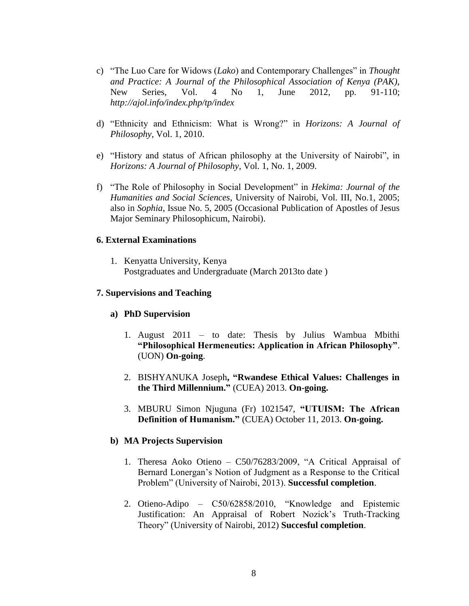- c) "The Luo Care for Widows (*Lako*) and Contemporary Challenges" in *Thought and Practice: A Journal of the Philosophical Association of Kenya (PAK)*, New Series, Vol. 4 No 1, June 2012, pp. 91-110; *http://ajol.info/index.php/tp/index*
- d) "Ethnicity and Ethnicism: What is Wrong?" in *Horizons: A Journal of Philosophy*, Vol. 1, 2010.
- e) "History and status of African philosophy at the University of Nairobi", in *Horizons: A Journal of Philosophy*, Vol. 1, No. 1, 2009.
- f) "The Role of Philosophy in Social Development" in *Hekima: Journal of the Humanities and Social Sciences*, University of Nairobi, Vol. III, No.1, 2005; also in *Sophia*, Issue No. 5, 2005 (Occasional Publication of Apostles of Jesus Major Seminary Philosophicum, Nairobi).

#### **6. External Examinations**

1. Kenyatta University, Kenya Postgraduates and Undergraduate (March 2013to date )

#### **7. Supervisions and Teaching**

#### **a) PhD Supervision**

- 1. August 2011 to date: Thesis by Julius Wambua Mbithi **"Philosophical Hermeneutics: Application in African Philosophy"**. (UON) **On-going**.
- 2. BISHYANUKA Joseph**, "Rwandese Ethical Values: Challenges in the Third Millennium."** (CUEA) 2013. **On-going.**
- 3. MBURU Simon Njuguna (Fr) 1021547, **"UTUISM: The African Definition of Humanism."** (CUEA) October 11, 2013. **On-going.**

#### **b) MA Projects Supervision**

- 1. Theresa Aoko Otieno C50/76283/2009, "A Critical Appraisal of Bernard Lonergan's Notion of Judgment as a Response to the Critical Problem" (University of Nairobi, 2013). **Successful completion**.
- 2. Otieno-Adipo C50/62858/2010, "Knowledge and Epistemic Justification: An Appraisal of Robert Nozick's Truth-Tracking Theory" (University of Nairobi, 2012) **Succesful completion**.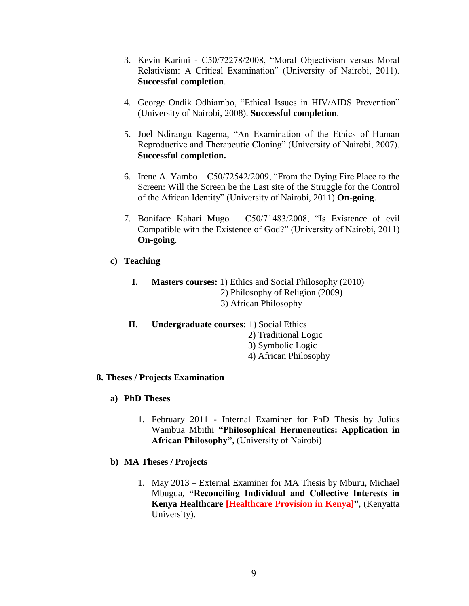- 3. Kevin Karimi C50/72278/2008, "Moral Objectivism versus Moral Relativism: A Critical Examination" (University of Nairobi, 2011). **Successful completion**.
- 4. George Ondik Odhiambo, "Ethical Issues in HIV/AIDS Prevention" (University of Nairobi, 2008). **Successful completion**.
- 5. Joel Ndirangu Kagema, "An Examination of the Ethics of Human Reproductive and Therapeutic Cloning" (University of Nairobi, 2007). **Successful completion.**
- 6. Irene A. Yambo C50/72542/2009, "From the Dying Fire Place to the Screen: Will the Screen be the Last site of the Struggle for the Control of the African Identity" (University of Nairobi, 2011) **On-going**.
- 7. Boniface Kahari Mugo C50/71483/2008, "Is Existence of evil Compatible with the Existence of God?" (University of Nairobi, 2011) **On-going**.
- **c) Teaching**
	- **I. Masters courses:** 1) Ethics and Social Philosophy (2010) 2) Philosophy of Religion (2009) 3) African Philosophy
	- **II. Undergraduate courses:** 1) Social Ethics
		- 2) Traditional Logic
		- 3) Symbolic Logic
		- 4) African Philosophy

## **8. Theses / Projects Examination**

- **a) PhD Theses**
	- 1. February 2011 Internal Examiner for PhD Thesis by Julius Wambua Mbithi **"Philosophical Hermeneutics: Application in African Philosophy"**, (University of Nairobi)
- **b) MA Theses / Projects**
	- 1. May 2013 External Examiner for MA Thesis by Mburu, Michael Mbugua, **"Reconciling Individual and Collective Interests in Kenya Healthcare [Healthcare Provision in Kenya]"**, (Kenyatta University).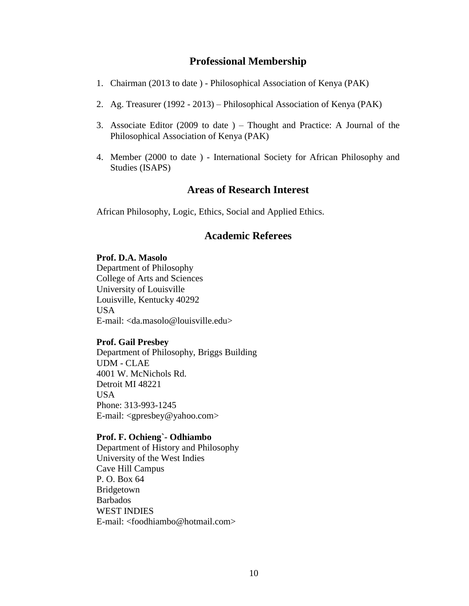## **Professional Membership**

- 1. Chairman (2013 to date ) Philosophical Association of Kenya (PAK)
- 2. Ag. Treasurer (1992 2013) Philosophical Association of Kenya (PAK)
- 3. Associate Editor (2009 to date ) Thought and Practice: A Journal of the Philosophical Association of Kenya (PAK)
- 4. Member (2000 to date ) International Society for African Philosophy and Studies (ISAPS)

## **Areas of Research Interest**

African Philosophy, Logic, Ethics, Social and Applied Ethics.

## **Academic Referees**

#### **Prof. D.A. Masolo**

Department of Philosophy College of Arts and Sciences University of Louisville Louisville, Kentucky 40292 USA E-mail: [<da.masolo@louisville.edu>](mailto:da.masolo@louisville.edu)

## **Prof. Gail Presbey**

Department of Philosophy, Briggs Building UDM - CLAE 4001 W. McNichols Rd. Detroit MI 48221 USA Phone: 313-993-1245 E-mail: <gpresbey@yahoo.com>

#### **Prof. F. Ochieng`- Odhiambo**

Department of History and Philosophy University of the West Indies Cave Hill Campus P. O. Box 64 Bridgetown Barbados WEST INDIES E-mail: <foodhiambo@hotmail.com>